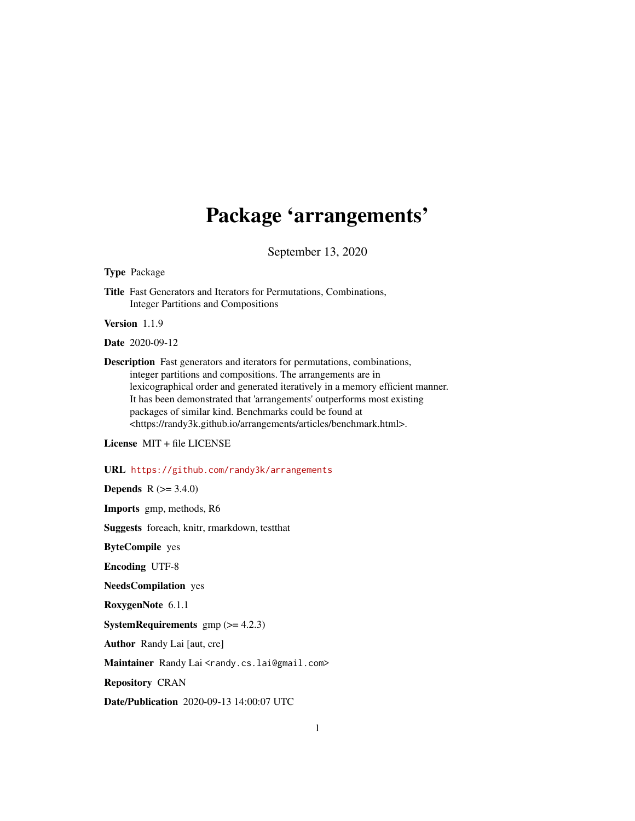## Package 'arrangements'

September 13, 2020

<span id="page-0-0"></span>Type Package

Title Fast Generators and Iterators for Permutations, Combinations, Integer Partitions and Compositions

Version 1.1.9

Date 2020-09-12

Description Fast generators and iterators for permutations, combinations, integer partitions and compositions. The arrangements are in lexicographical order and generated iteratively in a memory efficient manner. It has been demonstrated that 'arrangements' outperforms most existing packages of similar kind. Benchmarks could be found at <https://randy3k.github.io/arrangements/articles/benchmark.html>.

License MIT + file LICENSE

URL <https://github.com/randy3k/arrangements>

**Depends**  $R (= 3.4.0)$ 

Imports gmp, methods, R6

Suggests foreach, knitr, rmarkdown, testthat

ByteCompile yes

Encoding UTF-8

NeedsCompilation yes

RoxygenNote 6.1.1

**SystemRequirements**  $gmp (= 4.2.3)$ 

Author Randy Lai [aut, cre]

Maintainer Randy Lai <randy.cs.lai@gmail.com>

Repository CRAN

Date/Publication 2020-09-13 14:00:07 UTC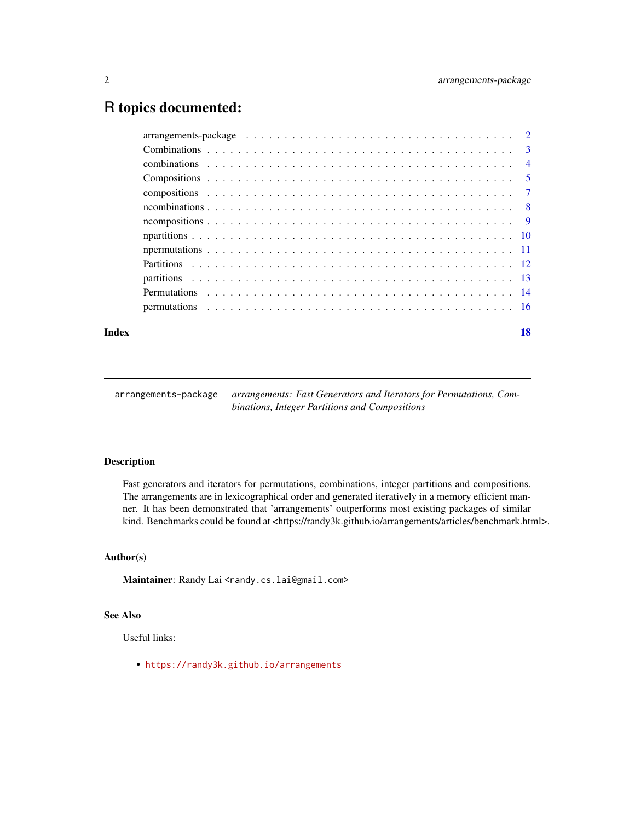### <span id="page-1-0"></span>R topics documented:

#### **Index** 2008 **[18](#page-17-0)**

| arrangements-package | arrangements: Fast Generators and Iterators for Permutations, Com- |
|----------------------|--------------------------------------------------------------------|
|                      | binations, Integer Partitions and Compositions                     |

#### Description

Fast generators and iterators for permutations, combinations, integer partitions and compositions. The arrangements are in lexicographical order and generated iteratively in a memory efficient manner. It has been demonstrated that 'arrangements' outperforms most existing packages of similar kind. Benchmarks could be found at <https://randy3k.github.io/arrangements/articles/benchmark.html>.

#### Author(s)

Maintainer: Randy Lai <randy.cs.lai@gmail.com>

#### See Also

Useful links:

• <https://randy3k.github.io/arrangements>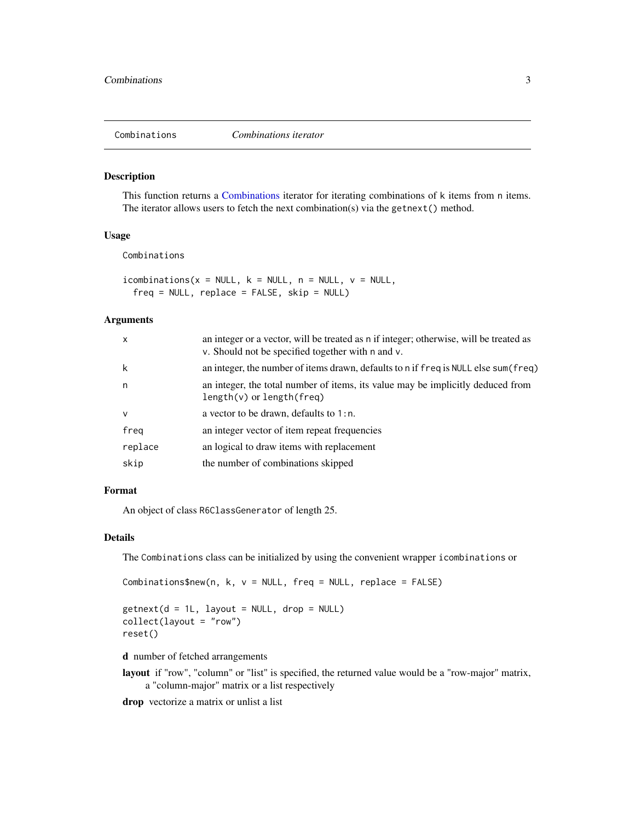<span id="page-2-1"></span><span id="page-2-0"></span>

#### <span id="page-2-2"></span>Description

This function returns a [Combinations](#page-2-1) iterator for iterating combinations of k items from n items. The iterator allows users to fetch the next combination(s) via the getnext() method.

#### Usage

Combinations

 $i$ combinations(x = NULL, k = NULL, n = NULL, v = NULL,  $freq = NULL$ , replace =  $FALSE$ ,  $skip = NULL$ 

#### Arguments

| $\mathsf{x}$ | an integer or a vector, will be treated as n if integer; otherwise, will be treated as<br>v. Should not be specified together with n and v. |
|--------------|---------------------------------------------------------------------------------------------------------------------------------------------|
| k            | an integer, the number of items drawn, defaults to n if freq is NULL else sum (freq)                                                        |
| n            | an integer, the total number of items, its value may be implicitly deduced from<br>$length(v)$ or length(freq)                              |
| $\mathsf{v}$ | a vector to be drawn, defaults to $1:n$ .                                                                                                   |
| freg         | an integer vector of item repeat frequencies                                                                                                |
| replace      | an logical to draw items with replacement                                                                                                   |
| skip         | the number of combinations skipped                                                                                                          |

#### Format

An object of class R6ClassGenerator of length 25.

#### Details

The Combinations class can be initialized by using the convenient wrapper icombinations or

```
Combinations$new(n, k, v = NULL, freq = NULL, replace = FALSE)
```
 $getnext(d = 1L, layout = NULL, drop = NULL)$ collect(layout = "row") reset()

d number of fetched arrangements

layout if "row", "column" or "list" is specified, the returned value would be a "row-major" matrix, a "column-major" matrix or a list respectively

drop vectorize a matrix or unlist a list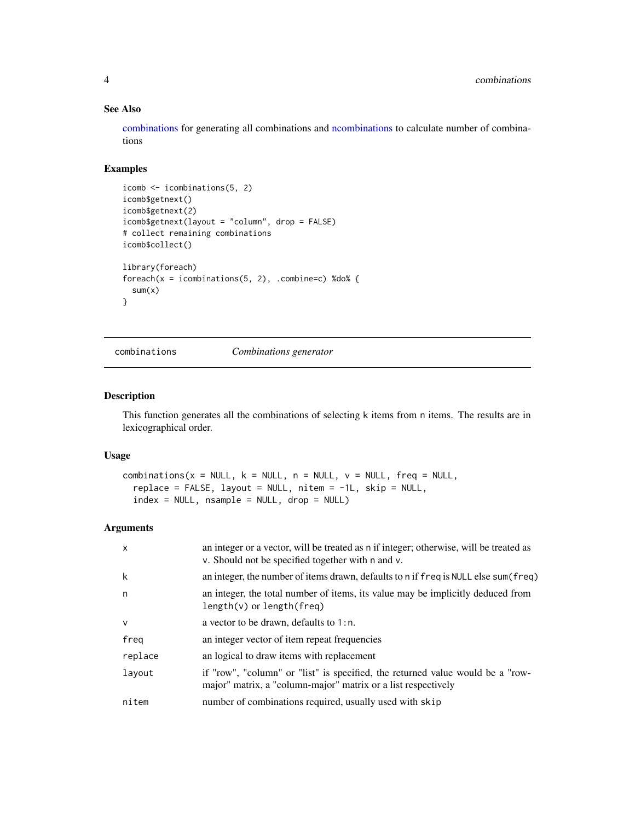#### See Also

[combinations](#page-3-1) for generating all combinations and [ncombinations](#page-7-1) to calculate number of combinations

#### Examples

```
icomb <- icombinations(5, 2)
icomb$getnext()
icomb$getnext(2)
icomb$getnext(layout = "column", drop = FALSE)
# collect remaining combinations
icomb$collect()
library(foreach)
foreach(x = icombinations(5, 2), .combine=c) %do% {
 sum(x)
}
```
<span id="page-3-1"></span>

combinations *Combinations generator*

#### Description

This function generates all the combinations of selecting k items from n items. The results are in lexicographical order.

#### Usage

```
combinations(x = NULL, k = NULL, n = NULL, v = NULL, freq = NULL,
  replace = FALSE, layout = NULL, nitem = -1L, skip = NULL,
  index = NULL, nsample = NULL, drop = NULL)
```

| $\mathsf{x}$ | an integer or a vector, will be treated as n if integer; otherwise, will be treated as<br>v. Should not be specified together with n and v.     |
|--------------|-------------------------------------------------------------------------------------------------------------------------------------------------|
| k            | an integer, the number of items drawn, defaults to n if freq is NULL else sum (freq)                                                            |
| n            | an integer, the total number of items, its value may be implicitly deduced from<br>$length(v)$ or length(freq)                                  |
| $\mathsf{v}$ | a vector to be drawn, defaults to $1:n$ .                                                                                                       |
| freg         | an integer vector of item repeat frequencies                                                                                                    |
| replace      | an logical to draw items with replacement                                                                                                       |
| layout       | if "row", "column" or "list" is specified, the returned value would be a "row-<br>major" matrix, a "column-major" matrix or a list respectively |
| nitem        | number of combinations required, usually used with skip                                                                                         |

<span id="page-3-0"></span>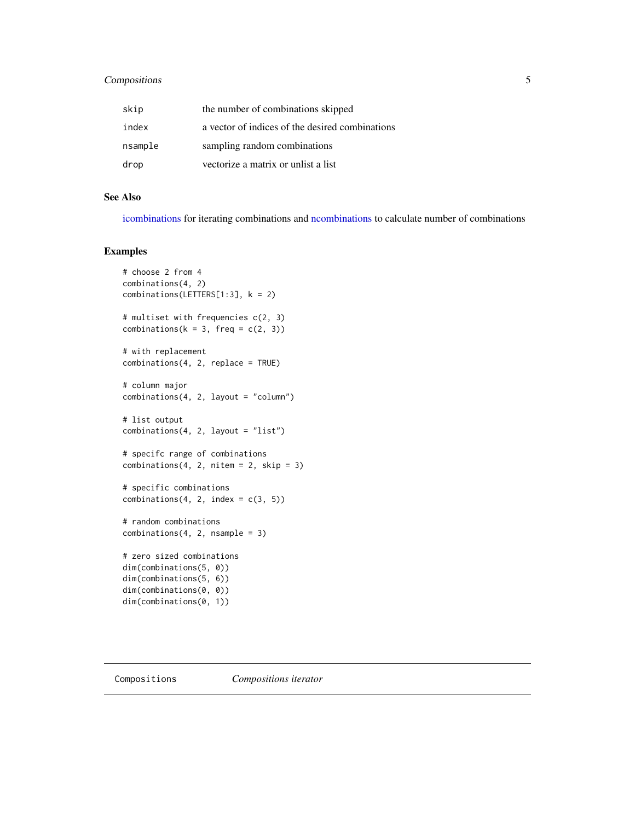#### <span id="page-4-0"></span>Compositions 5

| skip    | the number of combinations skipped              |
|---------|-------------------------------------------------|
| index   | a vector of indices of the desired combinations |
| nsample | sampling random combinations                    |
| drop    | vectorize a matrix or unlist a list             |

#### See Also

[icombinations](#page-2-2) for iterating combinations and [ncombinations](#page-7-1) to calculate number of combinations

#### Examples

```
# choose 2 from 4
combinations(4, 2)
combinations(LETTERS[1:3], k = 2)
# multiset with frequencies c(2, 3)
combinations(k = 3, freq = c(2, 3))
# with replacement
combinations(4, 2, replace = TRUE)
# column major
combinations(4, 2, layout = "column")# list output
combinations(4, 2, layout = "list")
# specifc range of combinations
combinations(4, 2, nitem = 2, skip = 3)# specific combinations
combinations(4, 2, index = c(3, 5))# random combinations
combinations(4, 2, nsample = 3)# zero sized combinations
dim(combinations(5, 0))
dim(combinations(5, 6))
dim(combinations(0, 0))
dim(combinations(0, 1))
```
<span id="page-4-2"></span>

<span id="page-4-1"></span>Compositions *Compositions iterator*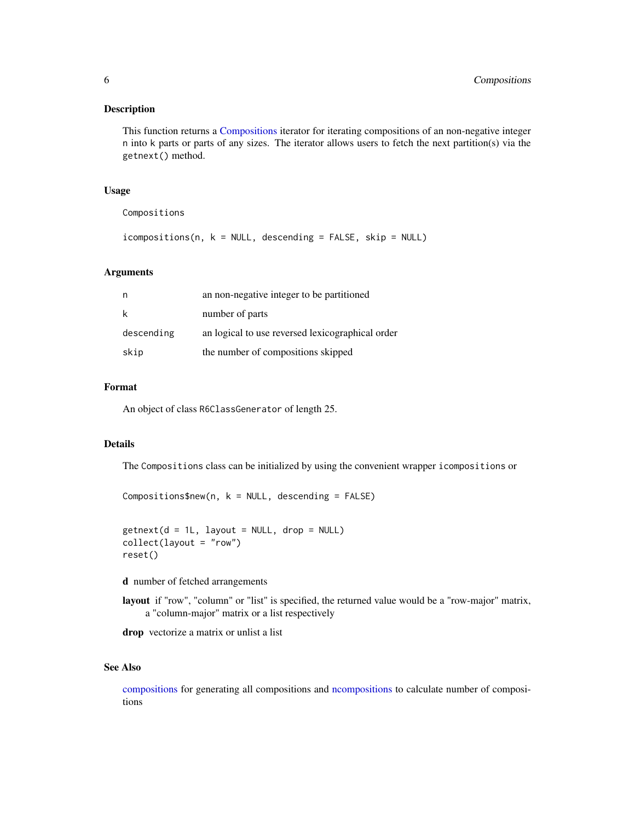#### <span id="page-5-0"></span>Description

This function returns a [Compositions](#page-4-1) iterator for iterating compositions of an non-negative integer n into k parts or parts of any sizes. The iterator allows users to fetch the next partition(s) via the getnext() method.

#### Usage

Compositions

icompositions(n, k = NULL, descending = FALSE, skip = NULL)

#### Arguments

|            | an non-negative integer to be partitioned        |
|------------|--------------------------------------------------|
| k          | number of parts                                  |
| descending | an logical to use reversed lexicographical order |
| skip       | the number of compositions skipped               |

#### Format

An object of class R6ClassGenerator of length 25.

#### Details

The Compositions class can be initialized by using the convenient wrapper icompositions or

```
Compositions$new(n, k = NULL, descending = FALSE)
```

```
getnext(d = 1L, layout = NULL, drop = NULL)collect(layout = "row")
reset()
```
d number of fetched arrangements

layout if "row", "column" or "list" is specified, the returned value would be a "row-major" matrix, a "column-major" matrix or a list respectively

drop vectorize a matrix or unlist a list

#### See Also

[compositions](#page-6-1) for generating all compositions and [ncompositions](#page-8-1) to calculate number of compositions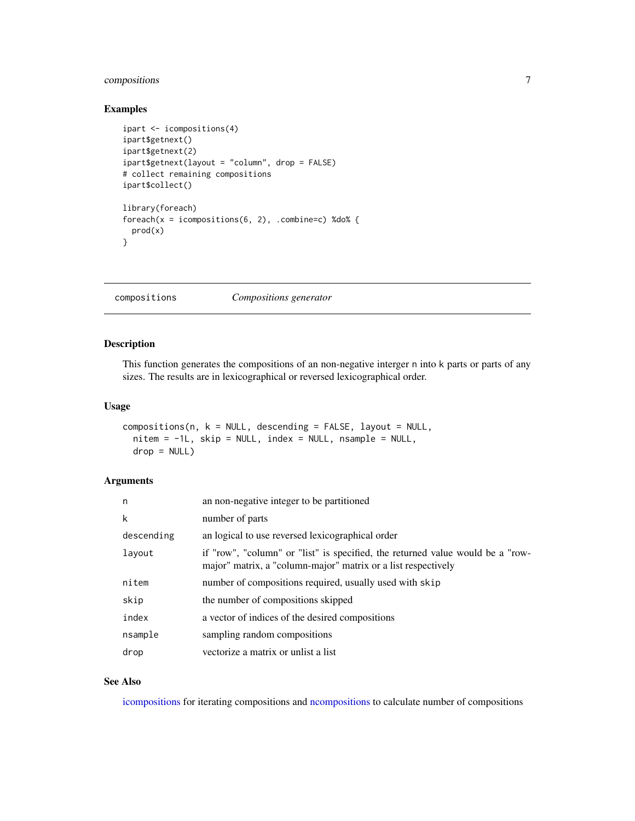#### <span id="page-6-0"></span>compositions 7

#### Examples

```
ipart <- icompositions(4)
ipart$getnext()
ipart$getnext(2)
ipart$getnext(layout = "column", drop = FALSE)
# collect remaining compositions
ipart$collect()
library(foreach)
foreach(x = icompositions(6, 2), combine=c) % do%prod(x)
}
```
<span id="page-6-1"></span>compositions *Compositions generator*

#### Description

This function generates the compositions of an non-negative interger n into k parts or parts of any sizes. The results are in lexicographical or reversed lexicographical order.

#### Usage

```
compositions(n, k = NULL, descending = FALSE, layout = NULL,nitem = -1L, skip = NULL, index = NULL, nsample = NULL,
 drop = NULL)
```
#### Arguments

| n          | an non-negative integer to be partitioned                                                                                                       |
|------------|-------------------------------------------------------------------------------------------------------------------------------------------------|
| k          | number of parts                                                                                                                                 |
| descending | an logical to use reversed lexicographical order                                                                                                |
| layout     | if "row", "column" or "list" is specified, the returned value would be a "row-<br>major" matrix, a "column-major" matrix or a list respectively |
| nitem      | number of compositions required, usually used with skip                                                                                         |
| skip       | the number of compositions skipped                                                                                                              |
| index      | a vector of indices of the desired compositions                                                                                                 |
| nsample    | sampling random compositions                                                                                                                    |
| drop       | vectorize a matrix or unlist a list                                                                                                             |

#### See Also

[icompositions](#page-4-2) for iterating compositions and [ncompositions](#page-8-1) to calculate number of compositions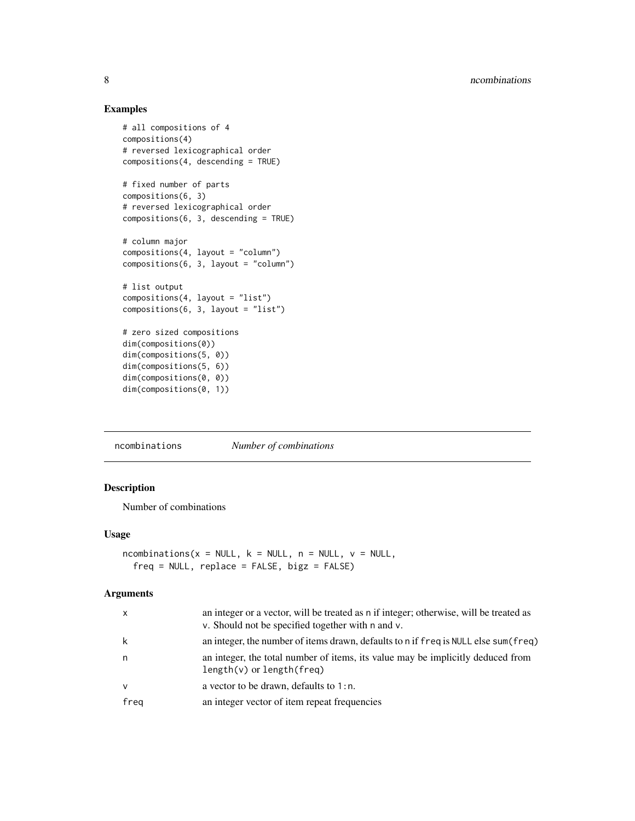#### Examples

```
# all compositions of 4
compositions(4)
# reversed lexicographical order
compositions(4, descending = TRUE)
# fixed number of parts
compositions(6, 3)
# reversed lexicographical order
compositions(6, 3, descending = TRUE)
# column major
compositions(4, layout = "column")
compositions(6, 3, layout = "column")
# list output
compositions(4, layout = "list")
compositions(6, 3, layout = "list")
# zero sized compositions
dim(compositions(0))
dim(compositions(5, 0))
dim(compositions(5, 6))
dim(compositions(0, 0))
dim(compositions(0, 1))
```
<span id="page-7-1"></span>ncombinations *Number of combinations*

#### Description

Number of combinations

#### Usage

```
ncombinations(x = NULL, k = NULL, n = NULL, v = NULL,
  freq = NULL, replace = FALSE, bigz = FALSE)
```

| $\mathsf{x}$ | an integer or a vector, will be treated as n if integer; otherwise, will be treated as<br>v. Should not be specified together with n and v. |
|--------------|---------------------------------------------------------------------------------------------------------------------------------------------|
| k            | an integer, the number of items drawn, defaults to n if freq is NULL else sum (freq)                                                        |
| n            | an integer, the total number of items, its value may be implicitly deduced from<br>$length(v)$ or $length(freq)$                            |
| $\mathsf{v}$ | a vector to be drawn, defaults to $1:n$ .                                                                                                   |
| freq         | an integer vector of item repeat frequencies                                                                                                |
|              |                                                                                                                                             |

<span id="page-7-0"></span>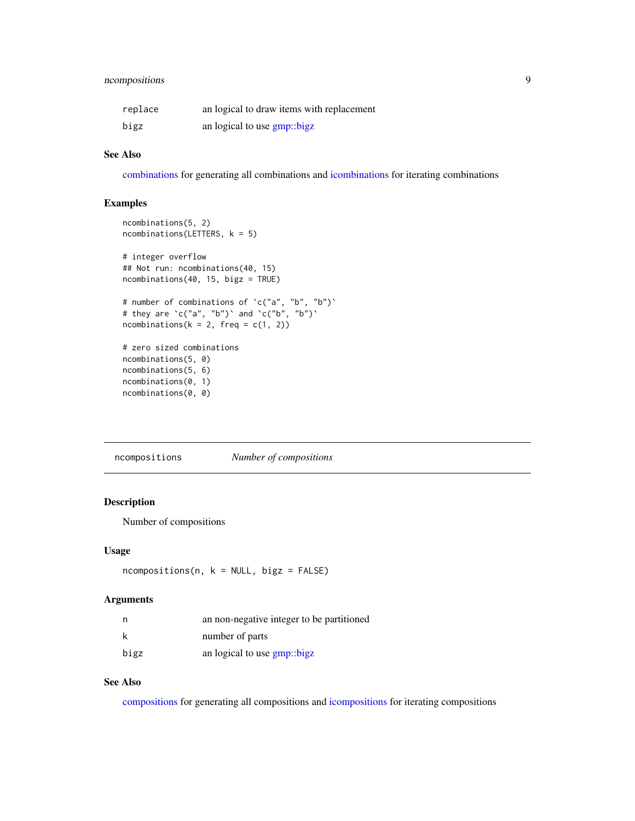#### <span id="page-8-0"></span>ncompositions 9

| replace | an logical to draw items with replacement |
|---------|-------------------------------------------|
| bigz    | an logical to use gmp::bigz               |

#### See Also

[combinations](#page-3-1) for generating all combinations and [icombinations](#page-2-2) for iterating combinations

#### Examples

```
ncombinations(5, 2)
ncombinations(LETTERS, k = 5)
# integer overflow
## Not run: ncombinations(40, 15)
ncombinations(40, 15, bigz = TRUE)
# number of combinations of `c("a", "b", "b")`
# they are \operatorname{`c("a", "b")`} and \operatorname{`c("b", "b")`}ncombinations(k = 2, freq = c(1, 2))
# zero sized combinations
ncombinations(5, 0)
ncombinations(5, 6)
ncombinations(0, 1)
ncombinations(0, 0)
```
<span id="page-8-1"></span>ncompositions *Number of compositions*

#### Description

Number of compositions

#### Usage

```
ncompositions(n, k = NULL, bigz = FALSE)
```
#### Arguments

| n    | an non-negative integer to be partitioned |
|------|-------------------------------------------|
| k    | number of parts                           |
| bigz | an logical to use <b>gmp</b> ::bigz       |

#### See Also

[compositions](#page-6-1) for generating all compositions and [icompositions](#page-4-2) for iterating compositions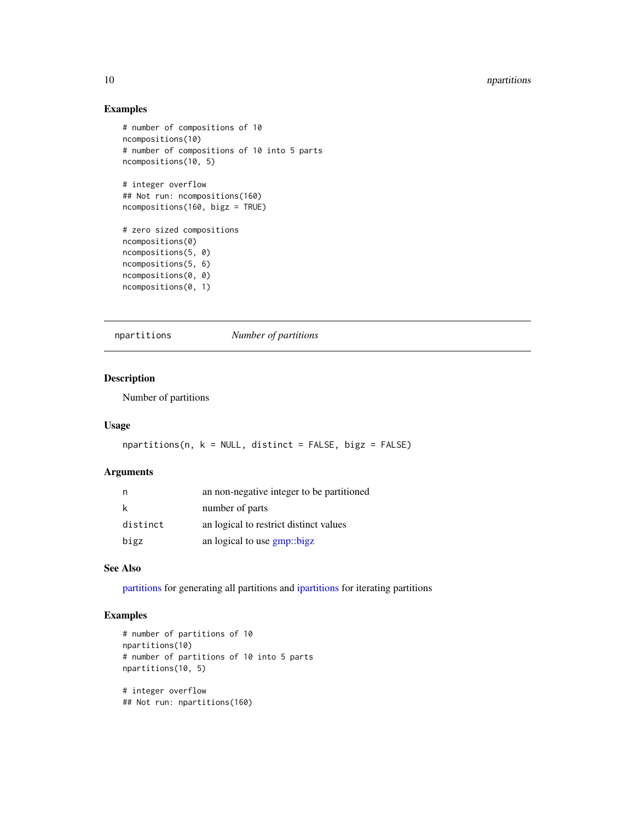#### Examples

```
# number of compositions of 10
ncompositions(10)
# number of compositions of 10 into 5 parts
ncompositions(10, 5)
# integer overflow
## Not run: ncompositions(160)
ncompositions(160, bigz = TRUE)
# zero sized compositions
ncompositions(0)
ncompositions(5, 0)
ncompositions(5, 6)
ncompositions(0, 0)
ncompositions(0, 1)
```

```
npartitions Number of partitions
```
#### Description

Number of partitions

#### Usage

```
npartitions(n, k = NULL, distinct = FALSE, bigz = FALSE)
```
#### Arguments

|          | an non-negative integer to be partitioned |
|----------|-------------------------------------------|
| k        | number of parts                           |
| distinct | an logical to restrict distinct values    |
| bigz     | an logical to use gmp::bigz               |

#### See Also

[partitions](#page-12-1) for generating all partitions and [ipartitions](#page-11-1) for iterating partitions

#### Examples

```
# number of partitions of 10
npartitions(10)
# number of partitions of 10 into 5 parts
npartitions(10, 5)
# integer overflow
## Not run: npartitions(160)
```
<span id="page-9-0"></span>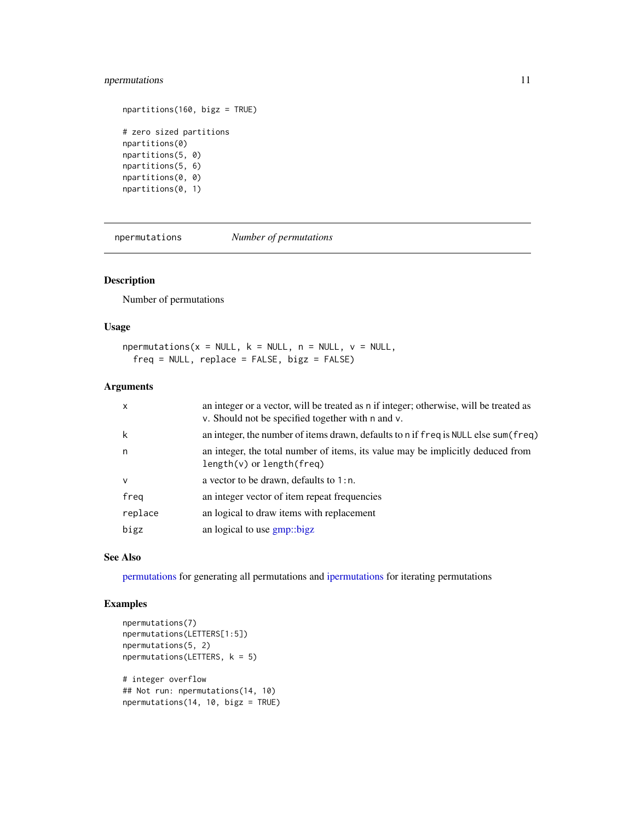#### <span id="page-10-0"></span>npermutations 11

```
npartitions(160, bigz = TRUE)
# zero sized partitions
npartitions(0)
npartitions(5, 0)
npartitions(5, 6)
npartitions(0, 0)
npartitions(0, 1)
```
<span id="page-10-1"></span>npermutations *Number of permutations*

#### Description

Number of permutations

#### Usage

 $npermutations(x = NULL, k = NULL, n = NULL, v = NULL,$ freq = NULL, replace = FALSE, bigz = FALSE)

#### Arguments

| $\mathsf{x}$ | an integer or a vector, will be treated as n if integer; otherwise, will be treated as<br>v. Should not be specified together with n and v. |
|--------------|---------------------------------------------------------------------------------------------------------------------------------------------|
| k            | an integer, the number of items drawn, defaults to n if freq is NULL else sum (freq)                                                        |
| n            | an integer, the total number of items, its value may be implicitly deduced from<br>$length(v)$ or $length(freq)$                            |
| $\mathsf{v}$ | a vector to be drawn, defaults to $1:n$ .                                                                                                   |
| freg         | an integer vector of item repeat frequencies                                                                                                |
| replace      | an logical to draw items with replacement                                                                                                   |
| bigz         | an logical to use gmp::bigz                                                                                                                 |

#### See Also

[permutations](#page-15-1) for generating all permutations and [ipermutations](#page-13-1) for iterating permutations

#### Examples

```
npermutations(7)
npermutations(LETTERS[1:5])
npermutations(5, 2)
npermutations(LETTERS, k = 5)
# integer overflow
## Not run: npermutations(14, 10)
npermutations(14, 10, bigz = TRUE)
```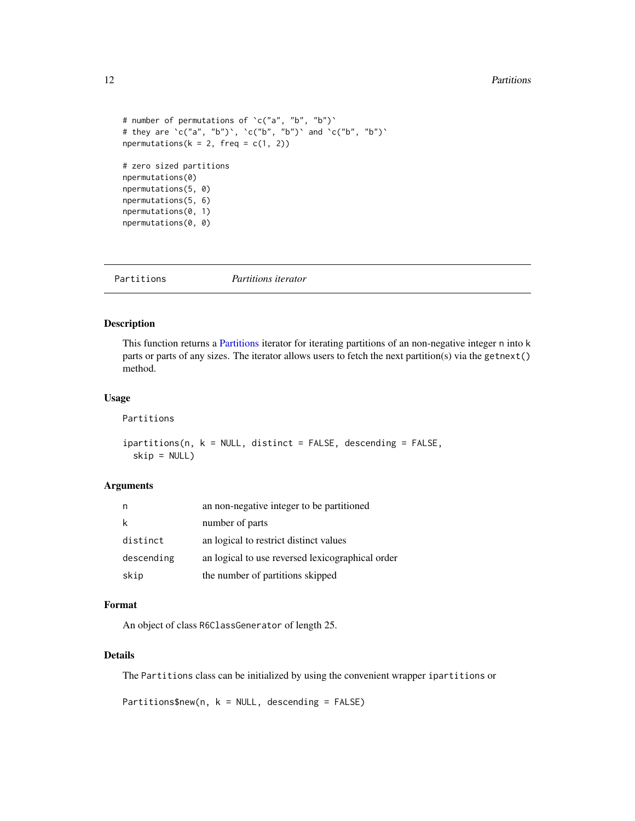```
# number of permutations of `c("a", "b", "b")`
# they are `c("a", "b")`, `c("b", "b")` and `c("b", "b")`
npermutations(k = 2, freq = c(1, 2))
# zero sized partitions
npermutations(0)
npermutations(5, 0)
npermutations(5, 6)
npermutations(0, 1)
npermutations(0, 0)
```
<span id="page-11-2"></span>Partitions *Partitions iterator*

#### <span id="page-11-1"></span>Description

This function returns a [Partitions](#page-11-2) iterator for iterating partitions of an non-negative integer n into k parts or parts of any sizes. The iterator allows users to fetch the next partition(s) via the getnext() method.

#### Usage

Partitions

ipartitions(n, k = NULL, distinct = FALSE, descending = FALSE, skip = NULL)

#### Arguments

|            | an non-negative integer to be partitioned        |
|------------|--------------------------------------------------|
| k          | number of parts                                  |
| distinct   | an logical to restrict distinct values           |
| descending | an logical to use reversed lexicographical order |
| skip       | the number of partitions skipped                 |

#### Format

An object of class R6ClassGenerator of length 25.

#### Details

The Partitions class can be initialized by using the convenient wrapper ipartitions or

Partitions\$new(n,  $k = NULL$ , descending = FALSE)

<span id="page-11-0"></span>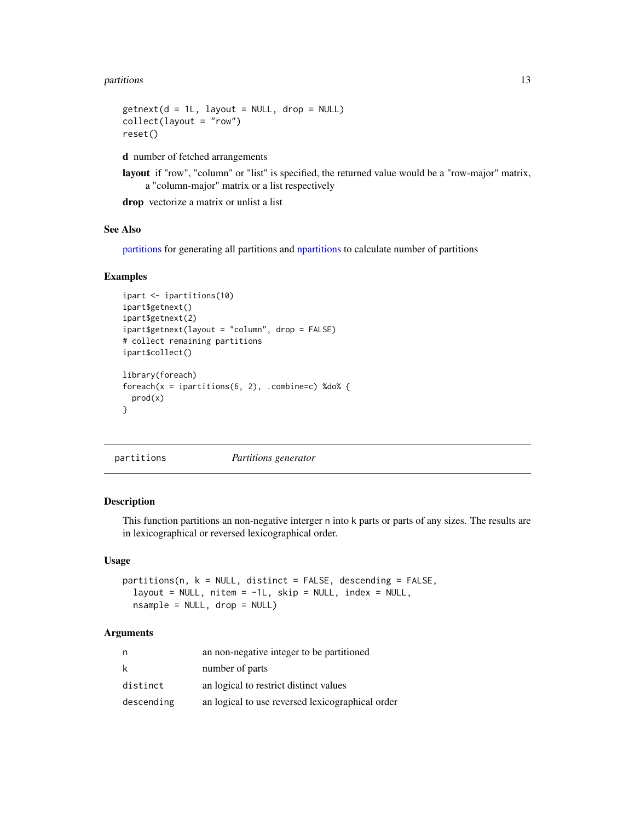#### <span id="page-12-0"></span>partitions and the contract of the contract of the contract of the contract of the contract of the contract of the contract of the contract of the contract of the contract of the contract of the contract of the contract of

```
getnext(d = 1L, layout = NULL, drop = NULL)collect(layout = "row")
reset()
```
d number of fetched arrangements

layout if "row", "column" or "list" is specified, the returned value would be a "row-major" matrix, a "column-major" matrix or a list respectively

drop vectorize a matrix or unlist a list

#### See Also

[partitions](#page-12-1) for generating all partitions and [npartitions](#page-9-1) to calculate number of partitions

#### Examples

```
ipart <- ipartitions(10)
ipart$getnext()
ipart$getnext(2)
ipart$getnext(layout = "column", drop = FALSE)
# collect remaining partitions
ipart$collect()
library(foreach)
foreach(x = ipartitions(6, 2), .combine=c) %do% {
 prod(x)
}
```
<span id="page-12-1"></span>partitions *Partitions generator*

#### Description

This function partitions an non-negative interger n into k parts or parts of any sizes. The results are in lexicographical or reversed lexicographical order.

#### Usage

```
partitions(n, k = NULL, distinct = FALSE, descending = FALSE,
  layout = NULL, nitem = -1L, skip = NULL, index = NULL,
 nsample = NULL, drop = NULL)
```

| n          | an non-negative integer to be partitioned        |
|------------|--------------------------------------------------|
| k          | number of parts                                  |
| distinct   | an logical to restrict distinct values           |
| descending | an logical to use reversed lexicographical order |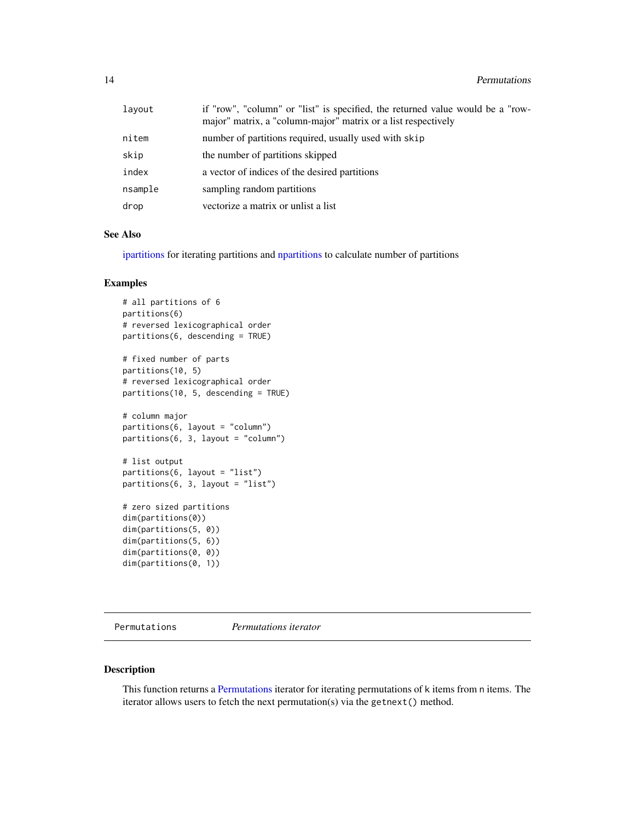<span id="page-13-0"></span>

| lavout  | if "row", "column" or "list" is specified, the returned value would be a "row-<br>major" matrix, a "column-major" matrix or a list respectively |
|---------|-------------------------------------------------------------------------------------------------------------------------------------------------|
| nitem   | number of partitions required, usually used with skip                                                                                           |
| skip    | the number of partitions skipped                                                                                                                |
| index   | a vector of indices of the desired partitions                                                                                                   |
| nsample | sampling random partitions                                                                                                                      |
| drop    | vectorize a matrix or unlist a list                                                                                                             |

#### See Also

[ipartitions](#page-11-1) for iterating partitions and [npartitions](#page-9-1) to calculate number of partitions

#### Examples

```
# all partitions of 6
partitions(6)
# reversed lexicographical order
partitions(6, descending = TRUE)
# fixed number of parts
partitions(10, 5)
# reversed lexicographical order
partitions(10, 5, descending = TRUE)
# column major
partitions(6, layout = "column")
partitions(6, 3, layout = "column")
# list output
partitions(6, layout = "list")
partitions(6, 3, layout = "list")
# zero sized partitions
dim(partitions(0))
dim(partitions(5, 0))
dim(partitions(5, 6))
dim(partitions(0, 0))
dim(partitions(0, 1))
```
<span id="page-13-2"></span>Permutations *Permutations iterator*

#### <span id="page-13-1"></span>Description

This function returns a [Permutations](#page-13-2) iterator for iterating permutations of k items from n items. The iterator allows users to fetch the next permutation(s) via the getnext() method.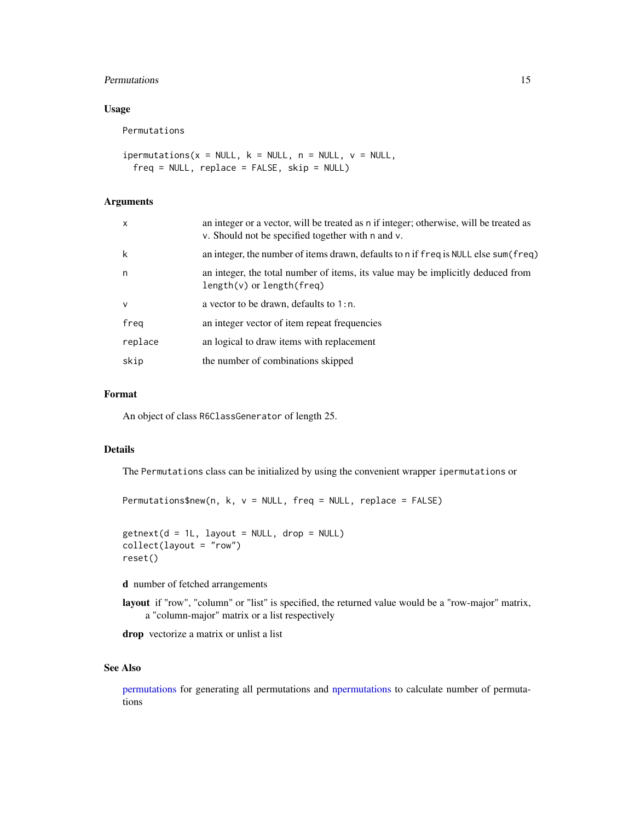#### <span id="page-14-0"></span>Permutations 15

#### Usage

Permutations

```
ipermutations(x = NULL, k = NULL, n = NULL, v = NULL,
 freq = NULL, replace = FALSE, skip = NULL)
```
#### Arguments

| $\mathsf{x}$ | an integer or a vector, will be treated as n if integer; otherwise, will be treated as<br>v. Should not be specified together with n and v. |
|--------------|---------------------------------------------------------------------------------------------------------------------------------------------|
| k            | an integer, the number of items drawn, defaults to n if freq is NULL else sum (freq)                                                        |
| n            | an integer, the total number of items, its value may be implicitly deduced from<br>$length(v)$ or $length(freq)$                            |
| $\vee$       | a vector to be drawn, defaults to $1:n$ .                                                                                                   |
| freg         | an integer vector of item repeat frequencies                                                                                                |
| replace      | an logical to draw items with replacement                                                                                                   |
| skip         | the number of combinations skipped                                                                                                          |

#### Format

An object of class R6ClassGenerator of length 25.

#### Details

The Permutations class can be initialized by using the convenient wrapper ipermutations or

Permutations\$new(n, k, v = NULL, freq = NULL, replace = FALSE)

```
getnext(d = 1L, layout = NULL, drop = NULL)collect(layout = "row")
reset()
```
d number of fetched arrangements

layout if "row", "column" or "list" is specified, the returned value would be a "row-major" matrix, a "column-major" matrix or a list respectively

drop vectorize a matrix or unlist a list

#### See Also

[permutations](#page-15-1) for generating all permutations and [npermutations](#page-10-1) to calculate number of permutations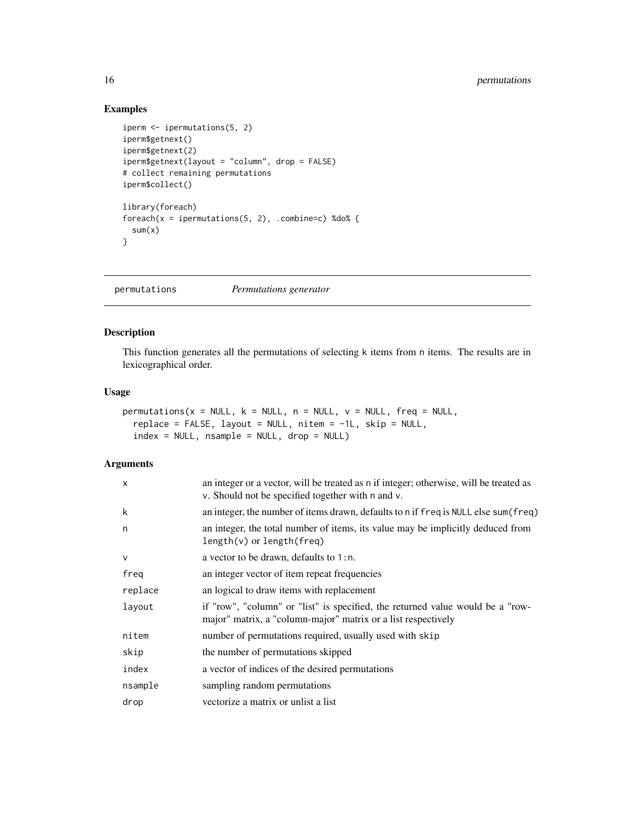#### Examples

```
iperm <- ipermutations(5, 2)
iperm$getnext()
iperm$getnext(2)
iperm$getnext(layout = "column", drop = FALSE)
# collect remaining permutations
iperm$collect()
library(foreach)
foreach(x = ipermutations(5, 2), .combine=c) %do% {
  sum(x)}
```
<span id="page-15-1"></span>permutations *Permutations generator*

#### Description

This function generates all the permutations of selecting k items from n items. The results are in lexicographical order.

#### Usage

```
permutations(x = NULL, k = NULL, n = NULL, v = NULL, freq = NULL,replace = FALSE, layout = NULL, nitem = -1L, skip = NULL,
  index = NULL, nsample = NULL, drop = NULL)
```

| $\mathsf{x}$ | an integer or a vector, will be treated as n if integer; otherwise, will be treated as<br>v. Should not be specified together with n and v.     |
|--------------|-------------------------------------------------------------------------------------------------------------------------------------------------|
| k            | an integer, the number of items drawn, defaults to n if freq is NULL else sum (freq)                                                            |
| n            | an integer, the total number of items, its value may be implicitly deduced from<br>$length(v)$ or $length(freq)$                                |
| $\vee$       | a vector to be drawn, defaults to $1:n$ .                                                                                                       |
| freg         | an integer vector of item repeat frequencies                                                                                                    |
| replace      | an logical to draw items with replacement                                                                                                       |
| layout       | if "row", "column" or "list" is specified, the returned value would be a "row-<br>major" matrix, a "column-major" matrix or a list respectively |
| nitem        | number of permutations required, usually used with skip                                                                                         |
| skip         | the number of permutations skipped                                                                                                              |
| index        | a vector of indices of the desired permutations                                                                                                 |
| nsample      | sampling random permutations                                                                                                                    |
| drop         | vectorize a matrix or unlist a list                                                                                                             |

<span id="page-15-0"></span>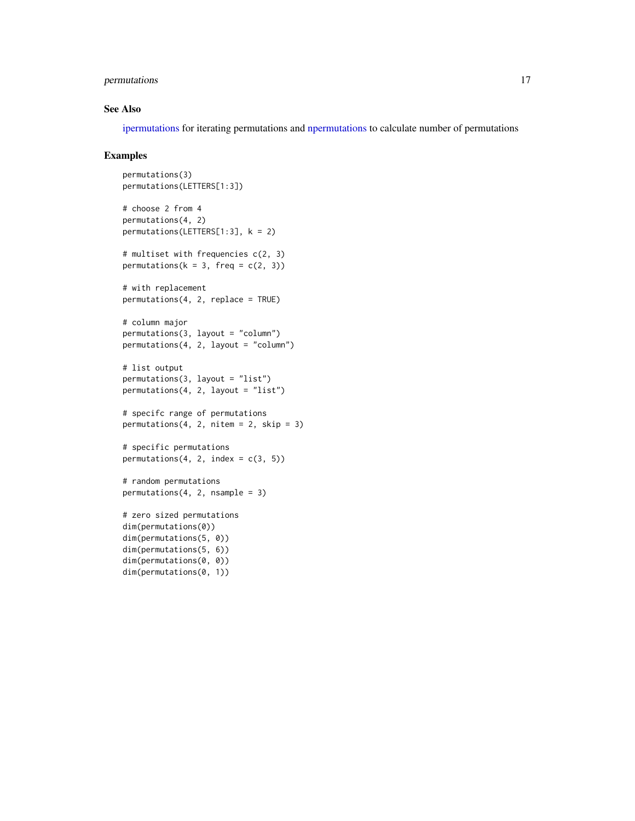#### <span id="page-16-0"></span>permutations 17

#### See Also

[ipermutations](#page-13-1) for iterating permutations and [npermutations](#page-10-1) to calculate number of permutations

#### Examples

```
permutations(3)
permutations(LETTERS[1:3])
# choose 2 from 4
permutations(4, 2)
permutations(LETTERS[1:3], k = 2)
# multiset with frequencies c(2, 3)
permutations(k = 3, freq = c(2, 3))
# with replacement
permutations(4, 2, replace = TRUE)
# column major
permutations(3, layout = "column")
permutations(4, 2, layout = "column")
# list output
permutations(3, layout = "list")
permutations(4, 2, layout = "list")
# specifc range of permutations
permutations(4, 2, nitem = 2, skip = 3)# specific permutations
permutations(4, 2, index = c(3, 5))
# random permutations
permutations(4, 2, nsample = 3)
# zero sized permutations
dim(permutations(0))
dim(permutations(5, 0))
dim(permutations(5, 6))
dim(permutations(0, 0))
dim(permutations(0, 1))
```